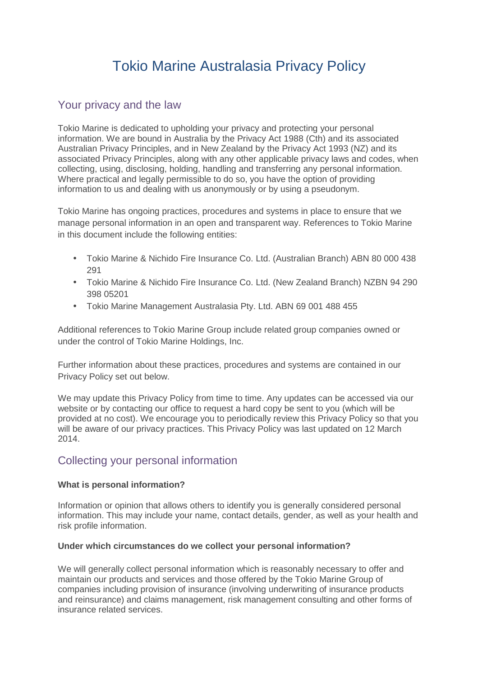# Tokio Marine Australasia Privacy Policy

# Your privacy and the law

Tokio Marine is dedicated to upholding your privacy and protecting your personal information. We are bound in Australia by the Privacy Act 1988 (Cth) and its associated Australian Privacy Principles, and in New Zealand by the Privacy Act 1993 (NZ) and its associated Privacy Principles, along with any other applicable privacy laws and codes, when collecting, using, disclosing, holding, handling and transferring any personal information. Where practical and legally permissible to do so, you have the option of providing information to us and dealing with us anonymously or by using a pseudonym.

Tokio Marine has ongoing practices, procedures and systems in place to ensure that we manage personal information in an open and transparent way. References to Tokio Marine in this document include the following entities:

- Tokio Marine & Nichido Fire Insurance Co. Ltd. (Australian Branch) ABN 80 000 438 291
- Tokio Marine & Nichido Fire Insurance Co. Ltd. (New Zealand Branch) NZBN 94 290 398 05201
- Tokio Marine Management Australasia Pty. Ltd. ABN 69 001 488 455

Additional references to Tokio Marine Group include related group companies owned or under the control of Tokio Marine Holdings, Inc.

Further information about these practices, procedures and systems are contained in our Privacy Policy set out below.

We may update this Privacy Policy from time to time. Any updates can be accessed via our website or by contacting our office to request a hard copy be sent to you (which will be provided at no cost). We encourage you to periodically review this Privacy Policy so that you will be aware of our privacy practices. This Privacy Policy was last updated on 12 March 2014.

# Collecting your personal information

## **What is personal information?**

Information or opinion that allows others to identify you is generally considered personal information. This may include your name, contact details, gender, as well as your health and risk profile information.

## **Under which circumstances do we collect your personal information?**

We will generally collect personal information which is reasonably necessary to offer and maintain our products and services and those offered by the Tokio Marine Group of companies including provision of insurance (involving underwriting of insurance products and reinsurance) and claims management, risk management consulting and other forms of insurance related services.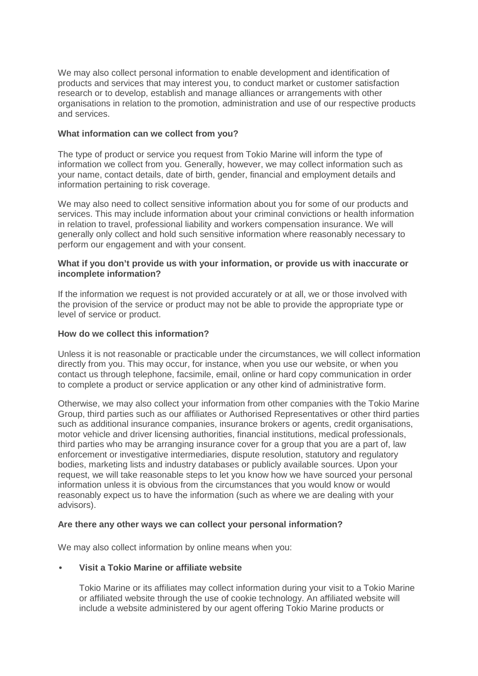We may also collect personal information to enable development and identification of products and services that may interest you, to conduct market or customer satisfaction research or to develop, establish and manage alliances or arrangements with other organisations in relation to the promotion, administration and use of our respective products and services.

#### **What information can we collect from you?**

The type of product or service you request from Tokio Marine will inform the type of information we collect from you. Generally, however, we may collect information such as your name, contact details, date of birth, gender, financial and employment details and information pertaining to risk coverage.

We may also need to collect sensitive information about you for some of our products and services. This may include information about your criminal convictions or health information in relation to travel, professional liability and workers compensation insurance. We will generally only collect and hold such sensitive information where reasonably necessary to perform our engagement and with your consent.

#### **What if you don't provide us with your information, or provide us with inaccurate or incomplete information?**

If the information we request is not provided accurately or at all, we or those involved with the provision of the service or product may not be able to provide the appropriate type or level of service or product.

#### **How do we collect this information?**

Unless it is not reasonable or practicable under the circumstances, we will collect information directly from you. This may occur, for instance, when you use our website, or when you contact us through telephone, facsimile, email, online or hard copy communication in order to complete a product or service application or any other kind of administrative form.

Otherwise, we may also collect your information from other companies with the Tokio Marine Group, third parties such as our affiliates or Authorised Representatives or other third parties such as additional insurance companies, insurance brokers or agents, credit organisations, motor vehicle and driver licensing authorities, financial institutions, medical professionals, third parties who may be arranging insurance cover for a group that you are a part of, law enforcement or investigative intermediaries, dispute resolution, statutory and regulatory bodies, marketing lists and industry databases or publicly available sources. Upon your request, we will take reasonable steps to let you know how we have sourced your personal information unless it is obvious from the circumstances that you would know or would reasonably expect us to have the information (such as where we are dealing with your advisors).

#### **Are there any other ways we can collect your personal information?**

We may also collect information by online means when you:

#### • **Visit a Tokio Marine or affiliate website**

Tokio Marine or its affiliates may collect information during your visit to a Tokio Marine or affiliated website through the use of cookie technology. An affiliated website will include a website administered by our agent offering Tokio Marine products or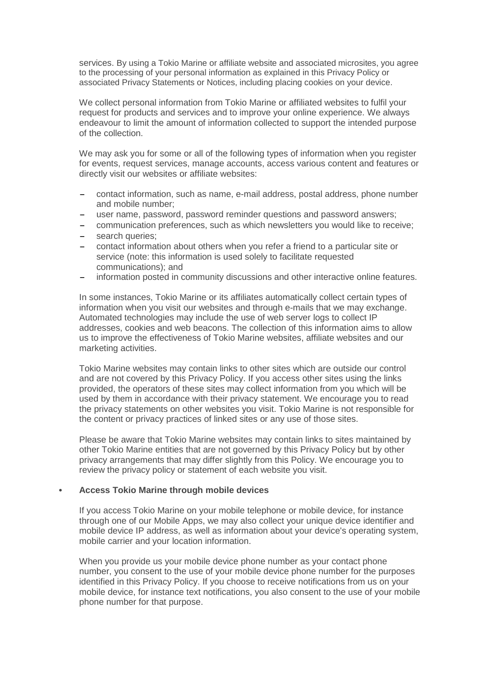services. By using a Tokio Marine or affiliate website and associated microsites, you agree to the processing of your personal information as explained in this Privacy Policy or associated Privacy Statements or Notices, including placing cookies on your device.

We collect personal information from Tokio Marine or affiliated websites to fulfil your request for products and services and to improve your online experience. We always endeavour to limit the amount of information collected to support the intended purpose of the collection.

We may ask you for some or all of the following types of information when you register for events, request services, manage accounts, access various content and features or directly visit our websites or affiliate websites:

- − contact information, such as name, e-mail address, postal address, phone number and mobile number;
- user name, password, password reminder questions and password answers;
- − communication preferences, such as which newsletters you would like to receive;
- search queries;
- contact information about others when you refer a friend to a particular site or service (note: this information is used solely to facilitate requested communications); and
- information posted in community discussions and other interactive online features.

In some instances, Tokio Marine or its affiliates automatically collect certain types of information when you visit our websites and through e-mails that we may exchange. Automated technologies may include the use of web server logs to collect IP addresses, cookies and web beacons. The collection of this information aims to allow us to improve the effectiveness of Tokio Marine websites, affiliate websites and our marketing activities.

Tokio Marine websites may contain links to other sites which are outside our control and are not covered by this Privacy Policy. If you access other sites using the links provided, the operators of these sites may collect information from you which will be used by them in accordance with their privacy statement. We encourage you to read the privacy statements on other websites you visit. Tokio Marine is not responsible for the content or privacy practices of linked sites or any use of those sites.

Please be aware that Tokio Marine websites may contain links to sites maintained by other Tokio Marine entities that are not governed by this Privacy Policy but by other privacy arrangements that may differ slightly from this Policy. We encourage you to review the privacy policy or statement of each website you visit.

## • **Access Tokio Marine through mobile devices**

If you access Tokio Marine on your mobile telephone or mobile device, for instance through one of our Mobile Apps, we may also collect your unique device identifier and mobile device IP address, as well as information about your device's operating system, mobile carrier and your location information.

When you provide us your mobile device phone number as your contact phone number, you consent to the use of your mobile device phone number for the purposes identified in this Privacy Policy. If you choose to receive notifications from us on your mobile device, for instance text notifications, you also consent to the use of your mobile phone number for that purpose.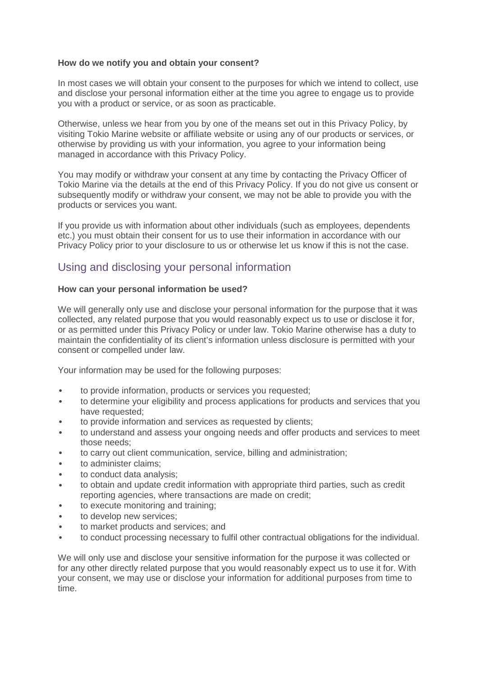## **How do we notify you and obtain your consent?**

In most cases we will obtain your consent to the purposes for which we intend to collect, use and disclose your personal information either at the time you agree to engage us to provide you with a product or service, or as soon as practicable.

Otherwise, unless we hear from you by one of the means set out in this Privacy Policy, by visiting Tokio Marine website or affiliate website or using any of our products or services, or otherwise by providing us with your information, you agree to your information being managed in accordance with this Privacy Policy.

You may modify or withdraw your consent at any time by contacting the Privacy Officer of Tokio Marine via the details at the end of this Privacy Policy. If you do not give us consent or subsequently modify or withdraw your consent, we may not be able to provide you with the products or services you want.

If you provide us with information about other individuals (such as employees, dependents etc.) you must obtain their consent for us to use their information in accordance with our Privacy Policy prior to your disclosure to us or otherwise let us know if this is not the case.

# Using and disclosing your personal information

#### **How can your personal information be used?**

We will generally only use and disclose your personal information for the purpose that it was collected, any related purpose that you would reasonably expect us to use or disclose it for, or as permitted under this Privacy Policy or under law. Tokio Marine otherwise has a duty to maintain the confidentiality of its client's information unless disclosure is permitted with your consent or compelled under law.

Your information may be used for the following purposes:

- to provide information, products or services you requested;
- to determine your eligibility and process applications for products and services that you have requested;
- to provide information and services as requested by clients;
- to understand and assess your ongoing needs and offer products and services to meet those needs;
- to carry out client communication, service, billing and administration;
- to administer claims:
- to conduct data analysis;
- to obtain and update credit information with appropriate third parties, such as credit reporting agencies, where transactions are made on credit;
- to execute monitoring and training;
- to develop new services:
- to market products and services; and
- to conduct processing necessary to fulfil other contractual obligations for the individual.

We will only use and disclose your sensitive information for the purpose it was collected or for any other directly related purpose that you would reasonably expect us to use it for. With your consent, we may use or disclose your information for additional purposes from time to time.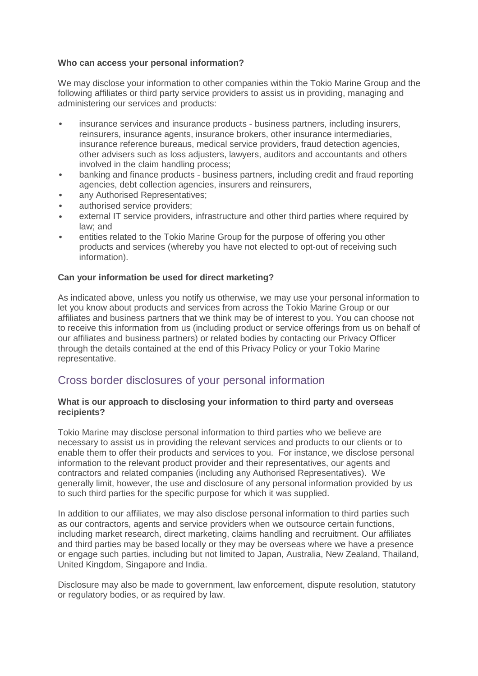## **Who can access your personal information?**

We may disclose your information to other companies within the Tokio Marine Group and the following affiliates or third party service providers to assist us in providing, managing and administering our services and products:

- insurance services and insurance products business partners, including insurers, reinsurers, insurance agents, insurance brokers, other insurance intermediaries, insurance reference bureaus, medical service providers, fraud detection agencies, other advisers such as loss adjusters, lawyers, auditors and accountants and others involved in the claim handling process;
- banking and finance products business partners, including credit and fraud reporting agencies, debt collection agencies, insurers and reinsurers,
- any Authorised Representatives;
- authorised service providers;
- external IT service providers, infrastructure and other third parties where required by law; and
- entities related to the Tokio Marine Group for the purpose of offering you other products and services (whereby you have not elected to opt-out of receiving such information).

## **Can your information be used for direct marketing?**

As indicated above, unless you notify us otherwise, we may use your personal information to let you know about products and services from across the Tokio Marine Group or our affiliates and business partners that we think may be of interest to you. You can choose not to receive this information from us (including product or service offerings from us on behalf of our affiliates and business partners) or related bodies by contacting our Privacy Officer through the details contained at the end of this Privacy Policy or your Tokio Marine representative.

# Cross border disclosures of your personal information

#### **What is our approach to disclosing your information to third party and overseas recipients?**

Tokio Marine may disclose personal information to third parties who we believe are necessary to assist us in providing the relevant services and products to our clients or to enable them to offer their products and services to you. For instance, we disclose personal information to the relevant product provider and their representatives, our agents and contractors and related companies (including any Authorised Representatives). We generally limit, however, the use and disclosure of any personal information provided by us to such third parties for the specific purpose for which it was supplied.

In addition to our affiliates, we may also disclose personal information to third parties such as our contractors, agents and service providers when we outsource certain functions, including market research, direct marketing, claims handling and recruitment. Our affiliates and third parties may be based locally or they may be overseas where we have a presence or engage such parties, including but not limited to Japan, Australia, New Zealand, Thailand, United Kingdom, Singapore and India.

Disclosure may also be made to government, law enforcement, dispute resolution, statutory or regulatory bodies, or as required by law.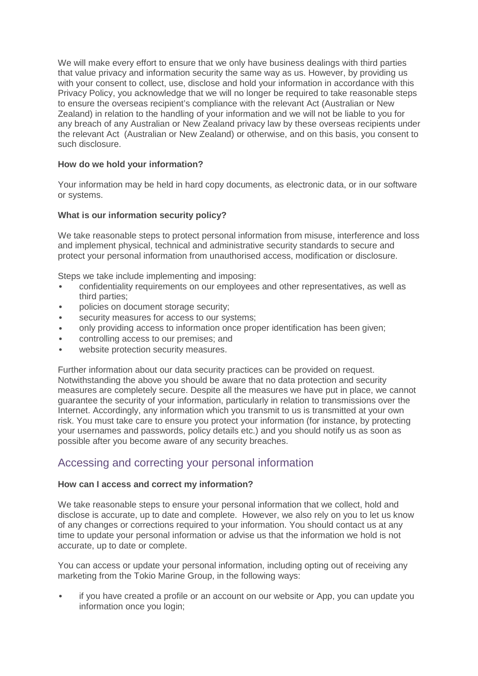We will make every effort to ensure that we only have business dealings with third parties that value privacy and information security the same way as us. However, by providing us with your consent to collect, use, disclose and hold your information in accordance with this Privacy Policy, you acknowledge that we will no longer be required to take reasonable steps to ensure the overseas recipient's compliance with the relevant Act (Australian or New Zealand) in relation to the handling of your information and we will not be liable to you for any breach of any Australian or New Zealand privacy law by these overseas recipients under the relevant Act (Australian or New Zealand) or otherwise, and on this basis, you consent to such disclosure.

## **How do we hold your information?**

Your information may be held in hard copy documents, as electronic data, or in our software or systems.

## **What is our information security policy?**

We take reasonable steps to protect personal information from misuse, interference and loss and implement physical, technical and administrative security standards to secure and protect your personal information from unauthorised access, modification or disclosure.

Steps we take include implementing and imposing:

- confidentiality requirements on our employees and other representatives, as well as third parties;
- policies on document storage security;
- security measures for access to our systems:
- only providing access to information once proper identification has been given;
- controlling access to our premises; and
- website protection security measures.

Further information about our data security practices can be provided on request. Notwithstanding the above you should be aware that no data protection and security measures are completely secure. Despite all the measures we have put in place, we cannot guarantee the security of your information, particularly in relation to transmissions over the Internet. Accordingly, any information which you transmit to us is transmitted at your own risk. You must take care to ensure you protect your information (for instance, by protecting your usernames and passwords, policy details etc.) and you should notify us as soon as possible after you become aware of any security breaches.

# Accessing and correcting your personal information

## **How can I access and correct my information?**

We take reasonable steps to ensure your personal information that we collect, hold and disclose is accurate, up to date and complete. However, we also rely on you to let us know of any changes or corrections required to your information. You should contact us at any time to update your personal information or advise us that the information we hold is not accurate, up to date or complete.

You can access or update your personal information, including opting out of receiving any marketing from the Tokio Marine Group, in the following ways:

• if you have created a profile or an account on our website or App, you can update you information once you login;